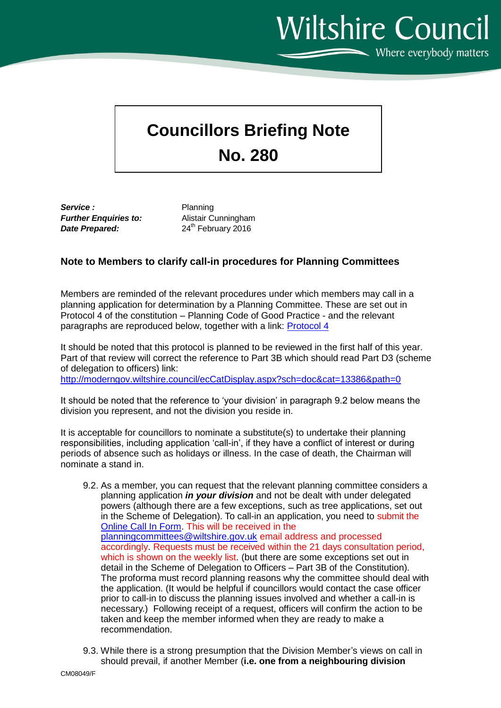**Wiltshire Council**  $\sum$  Where everybody matters

## **Councillors Briefing Note No. 280**

**Service :** Planning *Further Enquiries to:* Alistair Cunningham **Date Prepared:** 24<sup>th</sup> February 2016

## **Note to Members to clarify call-in procedures for Planning Committees**

Members are reminded of the relevant procedures under which members may call in a planning application for determination by a Planning Committee. These are set out in Protocol 4 of the constitution – Planning Code of Good Practice - and the relevant paragraphs are reproduced below, together with a link: [Protocol 4](http://moderngov.wiltshire.council/ecSDDisplay.aspx?NAME=Protocol4PlanningCodeofGoodPracticeSiteVisit&ID=647&RPID=11443018&sch=doc&cat=13386&path=13386)

It should be noted that this protocol is planned to be reviewed in the first half of this year. Part of that review will correct the reference to Part 3B which should read Part D3 (scheme of delegation to officers) link:

<http://moderngov.wiltshire.council/ecCatDisplay.aspx?sch=doc&cat=13386&path=0>

It should be noted that the reference to 'your division' in paragraph 9.2 below means the division you represent, and not the division you reside in.

It is acceptable for councillors to nominate a substitute(s) to undertake their planning responsibilities, including application 'call-in', if they have a conflict of interest or during periods of absence such as holidays or illness. In the case of death, the Chairman will nominate a stand in.

- 9.2. As a member, you can request that the relevant planning committee considers a planning application *in your division* and not be dealt with under delegated powers (although there are a few exceptions, such as tree applications, set out in the Scheme of Delegation). To call-in an application, you need to submit the [Online Call In Form.](http://thewire.wiltshire.council/index/councillors-area/planning-app-to-be-considered-by-committee.htm) This will be received in the [planningcommittees@wiltshire.gov.uk](mailto:planningcommittees@wiltshire.gov.uk) email address and processed accordingly. Requests must be received within the 21 days consultation period, which is shown on the weekly list. (but there are some exceptions set out in detail in the Scheme of Delegation to Officers – Part 3B of the Constitution). The proforma must record planning reasons why the committee should deal with the application. (It would be helpful if councillors would contact the case officer prior to call-in to discuss the planning issues involved and whether a call-in is necessary.) Following receipt of a request, officers will confirm the action to be taken and keep the member informed when they are ready to make a recommendation.
- 9.3. While there is a strong presumption that the Division Member's views on call in should prevail, if another Member (**i.e. one from a neighbouring division**